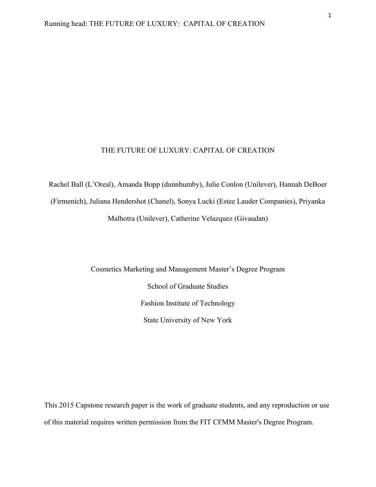Rachel Ball (L'Oreal), Amanda Bopp (dunnhumby), Julie Conlon (Unilever), Hannah DeBoer (Firmenich), Juliana Hendershot (Chanel), Sonya Lucki (Estee Lauder Companies), Priyanka Malhotra (Unilever), Catherine Velazquez (Givaudan)

> Cosmetics Marketing and Management Master's Degree Program School of Graduate Studies Fashion Institute of Technology State University of New York

This 2015 Capstone research paper is the work of graduate students, and any reproduction or use of this material requires written permission from the FIT CFMM Master's Degree Program.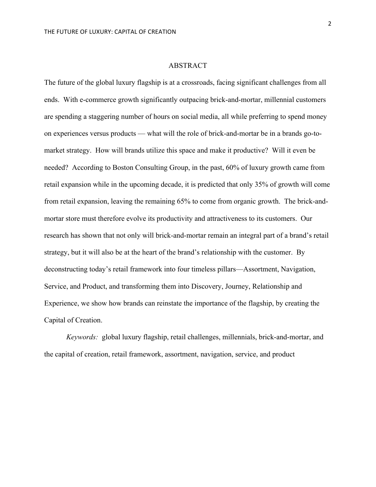# ABSTRACT

The future of the global luxury flagship is at a crossroads, facing significant challenges from all ends. With e-commerce growth significantly outpacing brick-and-mortar, millennial customers are spending a staggering number of hours on social media, all while preferring to spend money on experiences versus products — what will the role of brick-and-mortar be in a brands go-tomarket strategy. How will brands utilize this space and make it productive? Will it even be needed? According to Boston Consulting Group, in the past, 60% of luxury growth came from retail expansion while in the upcoming decade, it is predicted that only 35% of growth will come from retail expansion, leaving the remaining 65% to come from organic growth. The brick-andmortar store must therefore evolve its productivity and attractiveness to its customers. Our research has shown that not only will brick-and-mortar remain an integral part of a brand's retail strategy, but it will also be at the heart of the brand's relationship with the customer. By deconstructing today's retail framework into four timeless pillars—Assortment, Navigation, Service, and Product, and transforming them into Discovery, Journey, Relationship and Experience, we show how brands can reinstate the importance of the flagship, by creating the Capital of Creation.

*Keywords:* global luxury flagship, retail challenges, millennials, brick-and-mortar, and the capital of creation, retail framework, assortment, navigation, service, and product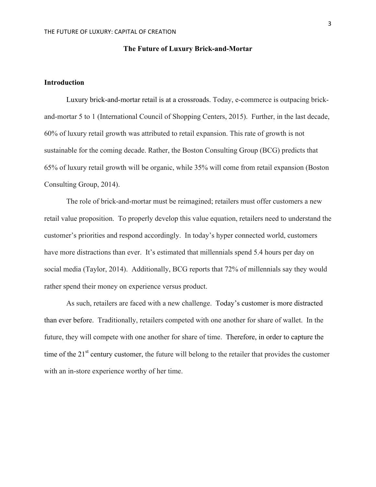## **The Future of Luxury Brick-and-Mortar**

# **Introduction**

Luxury brick-and-mortar retail is at a crossroads. Today, e-commerce is outpacing brickand-mortar 5 to 1 (International Council of Shopping Centers, 2015). Further, in the last decade, 60% of luxury retail growth was attributed to retail expansion. This rate of growth is not sustainable for the coming decade. Rather, the Boston Consulting Group (BCG) predicts that 65% of luxury retail growth will be organic, while 35% will come from retail expansion (Boston Consulting Group, 2014).

The role of brick-and-mortar must be reimagined; retailers must offer customers a new retail value proposition. To properly develop this value equation, retailers need to understand the customer's priorities and respond accordingly. In today's hyper connected world, customers have more distractions than ever. It's estimated that millennials spend 5.4 hours per day on social media (Taylor, 2014). Additionally, BCG reports that 72% of millennials say they would rather spend their money on experience versus product.

As such, retailers are faced with a new challenge. Today's customer is more distracted than ever before. Traditionally, retailers competed with one another for share of wallet. In the future, they will compete with one another for share of time. Therefore, in order to capture the time of the 21<sup>st</sup> century customer, the future will belong to the retailer that provides the customer with an in-store experience worthy of her time.

3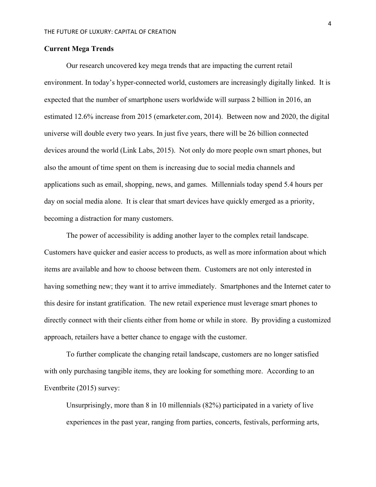## **Current Mega Trends**

Our research uncovered key mega trends that are impacting the current retail environment. In today's hyper-connected world, customers are increasingly digitally linked. It is expected that the number of smartphone users worldwide will surpass 2 billion in 2016, an estimated 12.6% increase from 2015 (emarketer.com, 2014). Between now and 2020, the digital universe will double every two years. In just five years, there will be 26 billion connected devices around the world (Link Labs, 2015). Not only do more people own smart phones, but also the amount of time spent on them is increasing due to social media channels and applications such as email, shopping, news, and games. Millennials today spend 5.4 hours per day on social media alone. It is clear that smart devices have quickly emerged as a priority, becoming a distraction for many customers.

The power of accessibility is adding another layer to the complex retail landscape. Customers have quicker and easier access to products, as well as more information about which items are available and how to choose between them. Customers are not only interested in having something new; they want it to arrive immediately. Smartphones and the Internet cater to this desire for instant gratification. The new retail experience must leverage smart phones to directly connect with their clients either from home or while in store. By providing a customized approach, retailers have a better chance to engage with the customer.

To further complicate the changing retail landscape, customers are no longer satisfied with only purchasing tangible items, they are looking for something more. According to an Eventbrite (2015) survey:

Unsurprisingly, more than 8 in 10 millennials (82%) participated in a variety of live experiences in the past year, ranging from parties, concerts, festivals, performing arts,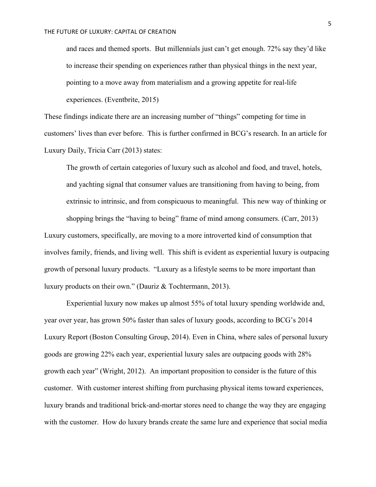and races and themed sports.But millennials just can't get enough. 72% say they'd like to increase their spending on experiences rather than physical things in the next year, pointing to a move away from materialism and a growing appetite for real-life experiences. (Eventbrite, 2015)

These findings indicate there are an increasing number of "things" competing for time in customers' lives than ever before. This is further confirmed in BCG's research. In an article for Luxury Daily, Tricia Carr (2013) states:

The growth of certain categories of luxury such as alcohol and food, and travel, hotels, and yachting signal that consumer values are transitioning from having to being, from extrinsic to intrinsic, and from conspicuous to meaningful. This new way of thinking or shopping brings the "having to being" frame of mind among consumers. (Carr, 2013) Luxury customers, specifically, are moving to a more introverted kind of consumption that involves family, friends, and living well. This shift is evident as experiential luxury is outpacing growth of personal luxury products. "Luxury as a lifestyle seems to be more important than luxury products on their own." (Dauriz & Tochtermann, 2013).

Experiential luxury now makes up almost 55% of total luxury spending worldwide and, year over year, has grown 50% faster than sales of luxury goods, according to BCG's 2014 Luxury Report (Boston Consulting Group, 2014). Even in China, where sales of personal luxury goods are growing 22% each year, experiential luxury sales are outpacing goods with 28% growth each year" (Wright, 2012). An important proposition to consider is the future of this customer. With customer interest shifting from purchasing physical items toward experiences, luxury brands and traditional brick-and-mortar stores need to change the way they are engaging with the customer. How do luxury brands create the same lure and experience that social media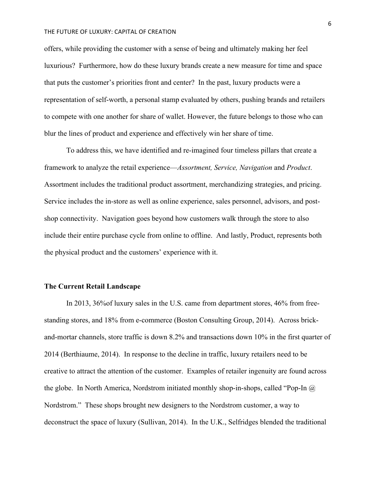offers, while providing the customer with a sense of being and ultimately making her feel luxurious? Furthermore, how do these luxury brands create a new measure for time and space that puts the customer's priorities front and center? In the past, luxury products were a representation of self-worth, a personal stamp evaluated by others, pushing brands and retailers to compete with one another for share of wallet. However, the future belongs to those who can blur the lines of product and experience and effectively win her share of time.

To address this, we have identified and re-imagined four timeless pillars that create a framework to analyze the retail experience—*Assortment, Service, Navigation* and *Product*. Assortment includes the traditional product assortment, merchandizing strategies, and pricing. Service includes the in-store as well as online experience, sales personnel, advisors, and postshop connectivity. Navigation goes beyond how customers walk through the store to also include their entire purchase cycle from online to offline. And lastly, Product, represents both the physical product and the customers' experience with it.

## **The Current Retail Landscape**

In 2013, 36%of luxury sales in the U.S. came from department stores, 46% from freestanding stores, and 18% from e-commerce (Boston Consulting Group, 2014). Across brickand-mortar channels, store traffic is down 8.2% and transactions down 10% in the first quarter of 2014 (Berthiaume, 2014). In response to the decline in traffic, luxury retailers need to be creative to attract the attention of the customer. Examples of retailer ingenuity are found across the globe. In North America, Nordstrom initiated monthly shop-in-shops, called "Pop-In  $\omega$ Nordstrom." These shops brought new designers to the Nordstrom customer, a way to deconstruct the space of luxury (Sullivan, 2014). In the U.K., Selfridges blended the traditional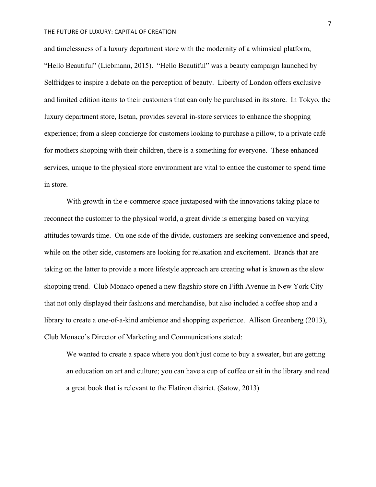and timelessness of a luxury department store with the modernity of a whimsical platform, "Hello Beautiful" (Liebmann, 2015). "Hello Beautiful" was a beauty campaign launched by Selfridges to inspire a debate on the perception of beauty. Liberty of London offers exclusive and limited edition items to their customers that can only be purchased in its store. In Tokyo, the luxury department store, Isetan, provides several in-store services to enhance the shopping experience; from a sleep concierge for customers looking to purchase a pillow, to a private café for mothers shopping with their children, there is a something for everyone. These enhanced services, unique to the physical store environment are vital to entice the customer to spend time in store.

With growth in the e-commerce space juxtaposed with the innovations taking place to reconnect the customer to the physical world, a great divide is emerging based on varying attitudes towards time. On one side of the divide, customers are seeking convenience and speed, while on the other side, customers are looking for relaxation and excitement. Brands that are taking on the latter to provide a more lifestyle approach are creating what is known as the slow shopping trend. Club Monaco opened a new flagship store on Fifth Avenue in New York City that not only displayed their fashions and merchandise, but also included a coffee shop and a library to create a one-of-a-kind ambience and shopping experience. Allison Greenberg (2013), Club Monaco's Director of Marketing and Communications stated:

We wanted to create a space where you don't just come to buy a sweater, but are getting an education on art and culture; you can have a cup of coffee or sit in the library and read a great book that is relevant to the Flatiron district. (Satow, 2013)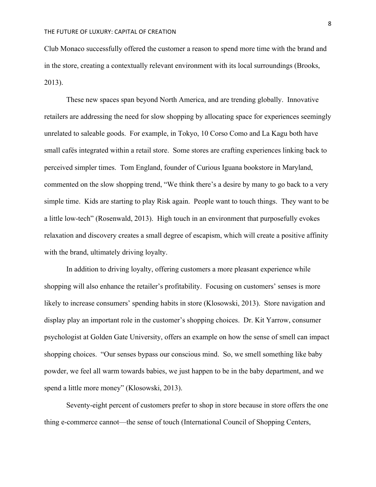Club Monaco successfully offered the customer a reason to spend more time with the brand and in the store, creating a contextually relevant environment with its local surroundings (Brooks, 2013).

These new spaces span beyond North America, and are trending globally. Innovative retailers are addressing the need for slow shopping by allocating space for experiences seemingly unrelated to saleable goods. For example, in Tokyo, 10 Corso Como and La Kagu both have small cafés integrated within a retail store. Some stores are crafting experiences linking back to perceived simpler times. Tom England, founder of Curious Iguana bookstore in Maryland, commented on the slow shopping trend, "We think there's a desire by many to go back to a very simple time. Kids are starting to play Risk again. People want to touch things. They want to be a little low-tech" (Rosenwald, 2013). High touch in an environment that purposefully evokes relaxation and discovery creates a small degree of escapism, which will create a positive affinity with the brand, ultimately driving loyalty.

In addition to driving loyalty, offering customers a more pleasant experience while shopping will also enhance the retailer's profitability. Focusing on customers' senses is more likely to increase consumers' spending habits in store (Klosowski, 2013). Store navigation and display play an important role in the customer's shopping choices. Dr. Kit Yarrow, consumer psychologist at Golden Gate University, offers an example on how the sense of smell can impact shopping choices. "Our senses bypass our conscious mind. So, we smell something like baby powder, we feel all warm towards babies, we just happen to be in the baby department, and we spend a little more money" (Klosowski, 2013).

Seventy-eight percent of customers prefer to shop in store because in store offers the one thing e-commerce cannot—the sense of touch (International Council of Shopping Centers,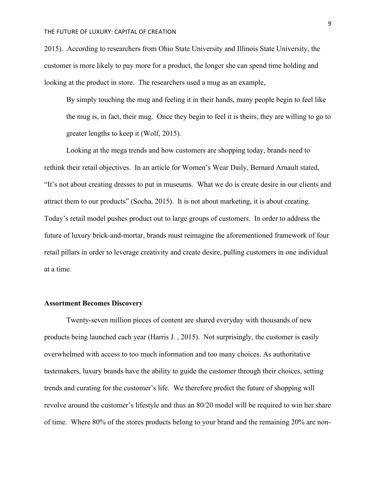2015). According to researchers from Ohio State University and Illinois State University, the customer is more likely to pay more for a product, the longer she can spend time holding and looking at the product in store. The researchers used a mug as an example,

By simply touching the mug and feeling it in their hands, many people begin to feel like the mug is, in fact, their mug. Once they begin to feel it is theirs, they are willing to go to greater lengths to keep it (Wolf, 2015).

Looking at the mega trends and how customers are shopping today, brands need to rethink their retail objectives. In an article for Women's Wear Daily, Bernard Arnault stated, "It's not about creating dresses to put in museums. What we do is create desire in our clients and attract them to our products" (Socha, 2015). It is not about marketing, it is about creating. Today's retail model pushes product out to large groups of customers. In order to address the future of luxury brick-and-mortar, brands must reimagine the aforementioned framework of four retail pillars in order to leverage creativity and create desire, pulling customers in one individual at a time.

## **Assortment Becomes Discovery**

Twenty-seven million pieces of content are shared everyday with thousands of new products being launched each year (Harris J. , 2015). Not surprisingly, the customer is easily overwhelmed with access to too much information and too many choices. As authoritative tastemakers, luxury brands have the ability to guide the customer through their choices, setting trends and curating for the customer's life. We therefore predict the future of shopping will revolve around the customer's lifestyle and thus an 80/20 model will be required to win her share of time. Where 80% of the stores products belong to your brand and the remaining 20% are non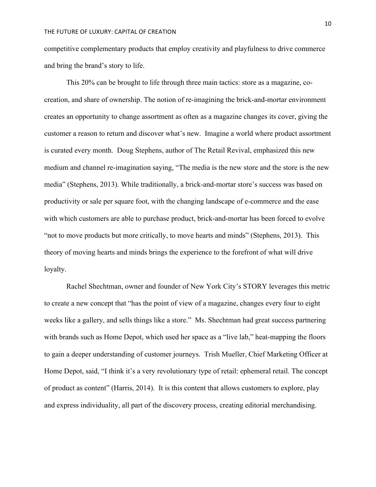competitive complementary products that employ creativity and playfulness to drive commerce and bring the brand's story to life.

This 20% can be brought to life through three main tactics: store as a magazine, cocreation, and share of ownership. The notion of re-imagining the brick-and-mortar environment creates an opportunity to change assortment as often as a magazine changes its cover, giving the customer a reason to return and discover what's new. Imagine a world where product assortment is curated every month. Doug Stephens, author of The Retail Revival, emphasized this new medium and channel re-imagination saying, "The media is the new store and the store is the new media" (Stephens, 2013). While traditionally, a brick-and-mortar store's success was based on productivity or sale per square foot, with the changing landscape of e-commerce and the ease with which customers are able to purchase product, brick-and-mortar has been forced to evolve "not to move products but more critically, to move hearts and minds" (Stephens, 2013). This theory of moving hearts and minds brings the experience to the forefront of what will drive loyalty.

Rachel Shechtman, owner and founder of New York City's STORY leverages this metric to create a new concept that "has the point of view of a magazine, changes every four to eight weeks like a gallery, and sells things like a store." Ms. Shechtman had great success partnering with brands such as Home Depot, which used her space as a "live lab," heat-mapping the floors to gain a deeper understanding of customer journeys. Trish Mueller, Chief Marketing Officer at Home Depot, said, "I think it's a very revolutionary type of retail: ephemeral retail. The concept of product as content" (Harris, 2014). It is this content that allows customers to explore, play and express individuality, all part of the discovery process, creating editorial merchandising.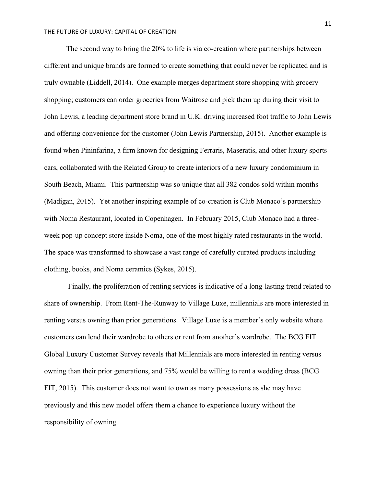The second way to bring the 20% to life is via co-creation where partnerships between different and unique brands are formed to create something that could never be replicated and is truly ownable (Liddell, 2014). One example merges department store shopping with grocery shopping; customers can order groceries from Waitrose and pick them up during their visit to John Lewis, a leading department store brand in U.K. driving increased foot traffic to John Lewis and offering convenience for the customer (John Lewis Partnership, 2015). Another example is found when Pininfarina, a firm known for designing Ferraris, Maseratis, and other luxury sports cars, collaborated with the Related Group to create interiors of a new luxury condominium in South Beach, Miami. This partnership was so unique that all 382 condos sold within months (Madigan, 2015). Yet another inspiring example of co-creation is Club Monaco's partnership with Noma Restaurant, located in Copenhagen. In February 2015, Club Monaco had a threeweek pop-up concept store inside Noma, one of the most highly rated restaurants in the world. The space was transformed to showcase a vast range of carefully curated products including clothing, books, and Noma ceramics (Sykes, 2015).

Finally, the proliferation of renting services is indicative of a long-lasting trend related to share of ownership. From Rent-The-Runway to Village Luxe, millennials are more interested in renting versus owning than prior generations. Village Luxe is a member's only website where customers can lend their wardrobe to others or rent from another's wardrobe. The BCG FIT Global Luxury Customer Survey reveals that Millennials are more interested in renting versus owning than their prior generations, and 75% would be willing to rent a wedding dress (BCG FIT, 2015). This customer does not want to own as many possessions as she may have previously and this new model offers them a chance to experience luxury without the responsibility of owning.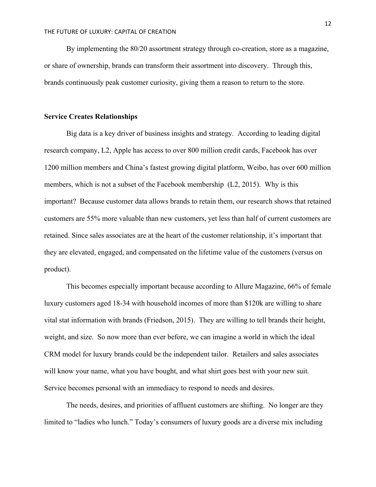By implementing the 80/20 assortment strategy through co-creation, store as a magazine, or share of ownership, brands can transform their assortment into discovery. Through this, brands continuously peak customer curiosity, giving them a reason to return to the store.

## **Service Creates Relationships**

Big data is a key driver of business insights and strategy. According to leading digital research company, L2, Apple has access to over 800 million credit cards, Facebook has over 1200 million members and China's fastest growing digital platform, Weibo, has over 600 million members, which is not a subset of the Facebook membership (L2, 2015). Why is this important? Because customer data allows brands to retain them, our research shows that retained customers are 55% more valuable than new customers, yet less than half of current customers are retained. Since sales associates are at the heart of the customer relationship, it's important that they are elevated, engaged, and compensated on the lifetime value of the customers (versus on product).

This becomes especially important because according to Allure Magazine, 66% of female luxury customers aged 18-34 with household incomes of more than \$120k are willing to share vital stat information with brands (Friedson, 2015). They are willing to tell brands their height, weight, and size. So now more than ever before, we can imagine a world in which the ideal CRM model for luxury brands could be the independent tailor. Retailers and sales associates will know your name, what you have bought, and what shirt goes best with your new suit. Service becomes personal with an immediacy to respond to needs and desires.

The needs, desires, and priorities of affluent customers are shifting. No longer are they limited to "ladies who lunch." Today's consumers of luxury goods are a diverse mix including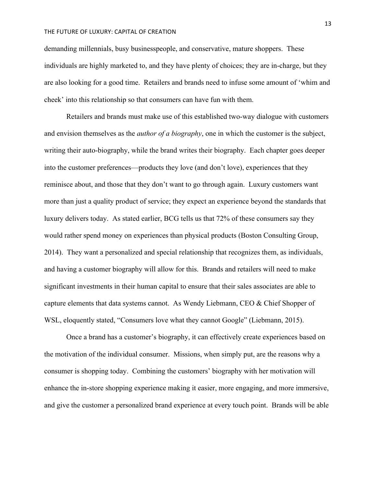demanding millennials, busy businesspeople, and conservative, mature shoppers. These individuals are highly marketed to, and they have plenty of choices; they are in-charge, but they are also looking for a good time. Retailers and brands need to infuse some amount of 'whim and cheek' into this relationship so that consumers can have fun with them.

Retailers and brands must make use of this established two-way dialogue with customers and envision themselves as the *author of a biography*, one in which the customer is the subject, writing their auto-biography, while the brand writes their biography. Each chapter goes deeper into the customer preferences—products they love (and don't love), experiences that they reminisce about, and those that they don't want to go through again. Luxury customers want more than just a quality product of service; they expect an experience beyond the standards that luxury delivers today. As stated earlier, BCG tells us that 72% of these consumers say they would rather spend money on experiences than physical products (Boston Consulting Group, 2014). They want a personalized and special relationship that recognizes them, as individuals, and having a customer biography will allow for this. Brands and retailers will need to make significant investments in their human capital to ensure that their sales associates are able to capture elements that data systems cannot. As Wendy Liebmann, CEO & Chief Shopper of WSL, eloquently stated, "Consumers love what they cannot Google" (Liebmann, 2015).

Once a brand has a customer's biography, it can effectively create experiences based on the motivation of the individual consumer. Missions, when simply put, are the reasons why a consumer is shopping today. Combining the customers' biography with her motivation will enhance the in-store shopping experience making it easier, more engaging, and more immersive, and give the customer a personalized brand experience at every touch point. Brands will be able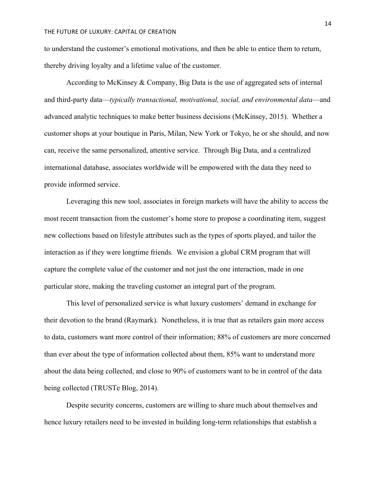to understand the customer's emotional motivations, and then be able to entice them to return, thereby driving loyalty and a lifetime value of the customer.

According to McKinsey & Company, Big Data is the use of aggregated sets of internal and third-party data—*typically transactional, motivational, social, and environmental data*—and advanced analytic techniques to make better business decisions (McKinsey, 2015). Whether a customer shops at your boutique in Paris, Milan, New York or Tokyo, he or she should, and now can, receive the same personalized, attentive service. Through Big Data, and a centralized international database, associates worldwide will be empowered with the data they need to provide informed service.

Leveraging this new tool, associates in foreign markets will have the ability to access the most recent transaction from the customer's home store to propose a coordinating item, suggest new collections based on lifestyle attributes such as the types of sports played, and tailor the interaction as if they were longtime friends. We envision a global CRM program that will capture the complete value of the customer and not just the one interaction, made in one particular store, making the traveling customer an integral part of the program.

This level of personalized service is what luxury customers' demand in exchange for their devotion to the brand (Raymark). Nonetheless, it is true that as retailers gain more access to data, customers want more control of their information; 88% of customers are more concerned than ever about the type of information collected about them, 85% want to understand more about the data being collected, and close to 90% of customers want to be in control of the data being collected (TRUSTe Blog, 2014).

Despite security concerns, customers are willing to share much about themselves and hence luxury retailers need to be invested in building long-term relationships that establish a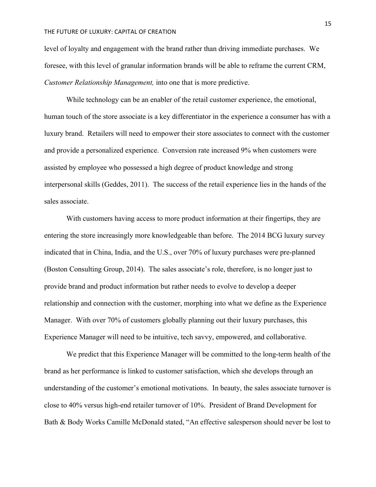level of loyalty and engagement with the brand rather than driving immediate purchases. We foresee, with this level of granular information brands will be able to reframe the current CRM, *Customer Relationship Management,* into one that is more predictive.

While technology can be an enabler of the retail customer experience, the emotional, human touch of the store associate is a key differentiator in the experience a consumer has with a luxury brand. Retailers will need to empower their store associates to connect with the customer and provide a personalized experience. Conversion rate increased 9% when customers were assisted by employee who possessed a high degree of product knowledge and strong interpersonal skills (Geddes, 2011). The success of the retail experience lies in the hands of the sales associate.

With customers having access to more product information at their fingertips, they are entering the store increasingly more knowledgeable than before. The 2014 BCG luxury survey indicated that in China, India, and the U.S., over 70% of luxury purchases were pre-planned (Boston Consulting Group, 2014). The sales associate's role, therefore, is no longer just to provide brand and product information but rather needs to evolve to develop a deeper relationship and connection with the customer, morphing into what we define as the Experience Manager. With over 70% of customers globally planning out their luxury purchases, this Experience Manager will need to be intuitive, tech savvy, empowered, and collaborative.

We predict that this Experience Manager will be committed to the long-term health of the brand as her performance is linked to customer satisfaction, which she develops through an understanding of the customer's emotional motivations. In beauty, the sales associate turnover is close to 40% versus high-end retailer turnover of 10%. President of Brand Development for Bath & Body Works Camille McDonald stated, "An effective salesperson should never be lost to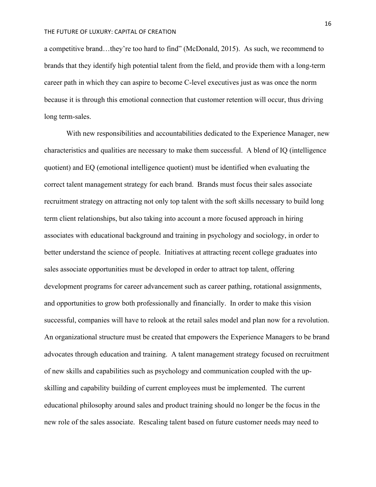a competitive brand…they're too hard to find" (McDonald, 2015). As such, we recommend to brands that they identify high potential talent from the field, and provide them with a long-term career path in which they can aspire to become C-level executives just as was once the norm because it is through this emotional connection that customer retention will occur, thus driving long term-sales.

With new responsibilities and accountabilities dedicated to the Experience Manager, new characteristics and qualities are necessary to make them successful. A blend of IQ (intelligence quotient) and EQ (emotional intelligence quotient) must be identified when evaluating the correct talent management strategy for each brand. Brands must focus their sales associate recruitment strategy on attracting not only top talent with the soft skills necessary to build long term client relationships, but also taking into account a more focused approach in hiring associates with educational background and training in psychology and sociology, in order to better understand the science of people. Initiatives at attracting recent college graduates into sales associate opportunities must be developed in order to attract top talent, offering development programs for career advancement such as career pathing, rotational assignments, and opportunities to grow both professionally and financially. In order to make this vision successful, companies will have to relook at the retail sales model and plan now for a revolution. An organizational structure must be created that empowers the Experience Managers to be brand advocates through education and training. A talent management strategy focused on recruitment of new skills and capabilities such as psychology and communication coupled with the upskilling and capability building of current employees must be implemented. The current educational philosophy around sales and product training should no longer be the focus in the new role of the sales associate. Rescaling talent based on future customer needs may need to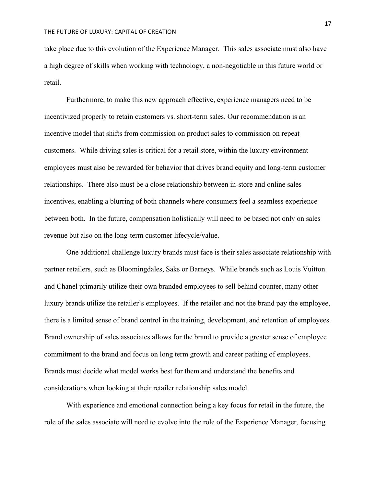take place due to this evolution of the Experience Manager. This sales associate must also have a high degree of skills when working with technology, a non-negotiable in this future world or retail.

Furthermore, to make this new approach effective, experience managers need to be incentivized properly to retain customers vs. short-term sales. Our recommendation is an incentive model that shifts from commission on product sales to commission on repeat customers. While driving sales is critical for a retail store, within the luxury environment employees must also be rewarded for behavior that drives brand equity and long-term customer relationships. There also must be a close relationship between in-store and online sales incentives, enabling a blurring of both channels where consumers feel a seamless experience between both. In the future, compensation holistically will need to be based not only on sales revenue but also on the long-term customer lifecycle/value.

One additional challenge luxury brands must face is their sales associate relationship with partner retailers, such as Bloomingdales, Saks or Barneys. While brands such as Louis Vuitton and Chanel primarily utilize their own branded employees to sell behind counter, many other luxury brands utilize the retailer's employees. If the retailer and not the brand pay the employee, there is a limited sense of brand control in the training, development, and retention of employees. Brand ownership of sales associates allows for the brand to provide a greater sense of employee commitment to the brand and focus on long term growth and career pathing of employees. Brands must decide what model works best for them and understand the benefits and considerations when looking at their retailer relationship sales model.

With experience and emotional connection being a key focus for retail in the future, the role of the sales associate will need to evolve into the role of the Experience Manager, focusing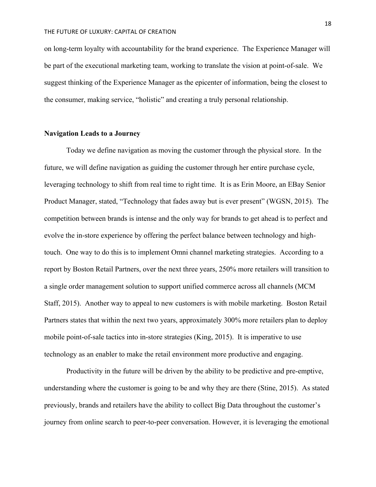on long-term loyalty with accountability for the brand experience. The Experience Manager will be part of the executional marketing team, working to translate the vision at point-of-sale. We suggest thinking of the Experience Manager as the epicenter of information, being the closest to the consumer, making service, "holistic" and creating a truly personal relationship.

## **Navigation Leads to a Journey**

Today we define navigation as moving the customer through the physical store. In the future, we will define navigation as guiding the customer through her entire purchase cycle, leveraging technology to shift from real time to right time. It is as Erin Moore, an EBay Senior Product Manager, stated, "Technology that fades away but is ever present" (WGSN, 2015). The competition between brands is intense and the only way for brands to get ahead is to perfect and evolve the in-store experience by offering the perfect balance between technology and hightouch. One way to do this is to implement Omni channel marketing strategies. According to a report by Boston Retail Partners, over the next three years, 250% more retailers will transition to a single order management solution to support unified commerce across all channels (MCM Staff, 2015). Another way to appeal to new customers is with mobile marketing. Boston Retail Partners states that within the next two years, approximately 300% more retailers plan to deploy mobile point-of-sale tactics into in-store strategies (King, 2015). It is imperative to use technology as an enabler to make the retail environment more productive and engaging.

Productivity in the future will be driven by the ability to be predictive and pre-emptive, understanding where the customer is going to be and why they are there (Stine, 2015). As stated previously, brands and retailers have the ability to collect Big Data throughout the customer's journey from online search to peer-to-peer conversation. However, it is leveraging the emotional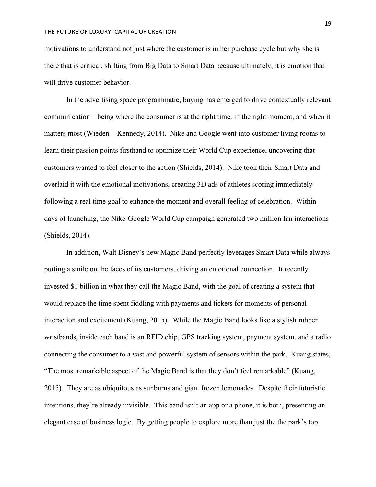motivations to understand not just where the customer is in her purchase cycle but why she is there that is critical, shifting from Big Data to Smart Data because ultimately, it is emotion that will drive customer behavior.

In the advertising space programmatic, buying has emerged to drive contextually relevant communication—being where the consumer is at the right time, in the right moment, and when it matters most (Wieden + Kennedy, 2014). Nike and Google went into customer living rooms to learn their passion points firsthand to optimize their World Cup experience, uncovering that customers wanted to feel closer to the action (Shields, 2014). Nike took their Smart Data and overlaid it with the emotional motivations, creating 3D ads of athletes scoring immediately following a real time goal to enhance the moment and overall feeling of celebration. Within days of launching, the Nike-Google World Cup campaign generated two million fan interactions (Shields, 2014).

In addition, Walt Disney's new Magic Band perfectly leverages Smart Data while always putting a smile on the faces of its customers, driving an emotional connection. It recently invested \$1 billion in what they call the Magic Band, with the goal of creating a system that would replace the time spent fiddling with payments and tickets for moments of personal interaction and excitement (Kuang, 2015). While the Magic Band looks like a stylish rubber wristbands, inside each band is an RFID chip, GPS tracking system, payment system, and a radio connecting the consumer to a vast and powerful system of sensors within the park. Kuang states, "The most remarkable aspect of the Magic Band is that they don't feel remarkable" (Kuang, 2015). They are as ubiquitous as sunburns and giant frozen lemonades. Despite their futuristic intentions, they're already invisible. This band isn't an app or a phone, it is both, presenting an elegant case of business logic. By getting people to explore more than just the the park's top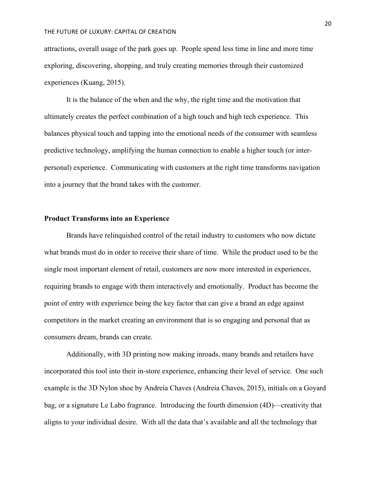attractions, overall usage of the park goes up. People spend less time in line and more time exploring, discovering, shopping, and truly creating memories through their customized experiences (Kuang, 2015).

It is the balance of the when and the why, the right time and the motivation that ultimately creates the perfect combination of a high touch and high tech experience. This balances physical touch and tapping into the emotional needs of the consumer with seamless predictive technology, amplifying the human connection to enable a higher touch (or interpersonal) experience. Communicating with customers at the right time transforms navigation into a journey that the brand takes with the customer.

## **Product Transforms into an Experience**

Brands have relinquished control of the retail industry to customers who now dictate what brands must do in order to receive their share of time. While the product used to be the single most important element of retail, customers are now more interested in experiences, requiring brands to engage with them interactively and emotionally. Product has become the point of entry with experience being the key factor that can give a brand an edge against competitors in the market creating an environment that is so engaging and personal that as consumers dream, brands can create.

Additionally, with 3D printing now making inroads, many brands and retailers have incorporated this tool into their in-store experience, enhancing their level of service. One such example is the 3D Nylon shoe by Andreia Chaves (Andreia Chaves, 2015), initials on a Goyard bag, or a signature Le Labo fragrance. Introducing the fourth dimension (4D)—creativity that aligns to your individual desire. With all the data that's available and all the technology that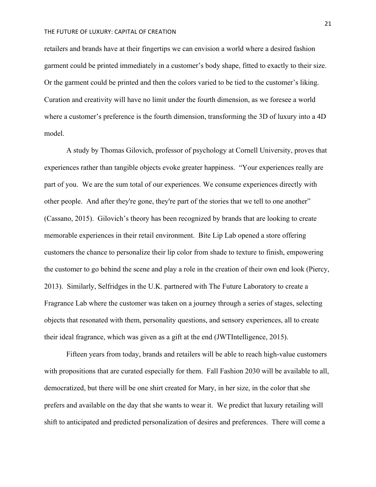retailers and brands have at their fingertips we can envision a world where a desired fashion garment could be printed immediately in a customer's body shape, fitted to exactly to their size. Or the garment could be printed and then the colors varied to be tied to the customer's liking. Curation and creativity will have no limit under the fourth dimension, as we foresee a world where a customer's preference is the fourth dimension, transforming the 3D of luxury into a 4D model.

A study by Thomas Gilovich, professor of psychology at Cornell University, proves that experiences rather than tangible objects evoke greater happiness."Your experiences really are part of you. We are the sum total of our experiences. We consume experiences directly with other people. And after they're gone, they're part of the stories that we tell to one another" (Cassano, 2015). Gilovich's theory has been recognized by brands that are looking to create memorable experiences in their retail environment. Bite Lip Lab opened a store offering customers the chance to personalize their lip color from shade to texture to finish, empowering the customer to go behind the scene and play a role in the creation of their own end look (Piercy, 2013). Similarly, Selfridges in the U.K. partnered with The Future Laboratory to create a Fragrance Lab where the customer was taken on a journey through a series of stages, selecting objects that resonated with them, personality questions, and sensory experiences, all to create their ideal fragrance, which was given as a gift at the end (JWTIntelligence, 2015).

Fifteen years from today, brands and retailers will be able to reach high-value customers with propositions that are curated especially for them. Fall Fashion 2030 will be available to all, democratized, but there will be one shirt created for Mary, in her size, in the color that she prefers and available on the day that she wants to wear it. We predict that luxury retailing will shift to anticipated and predicted personalization of desires and preferences. There will come a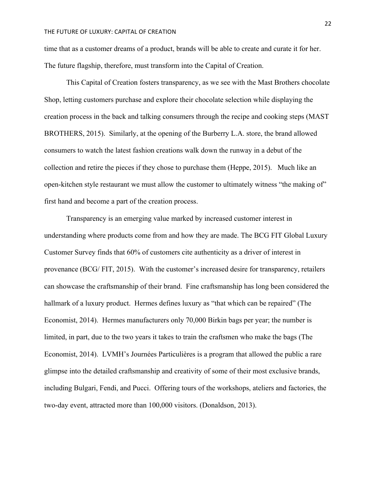time that as a customer dreams of a product, brands will be able to create and curate it for her. The future flagship, therefore, must transform into the Capital of Creation.

This Capital of Creation fosters transparency, as we see with the Mast Brothers chocolate Shop, letting customers purchase and explore their chocolate selection while displaying the creation process in the back and talking consumers through the recipe and cooking steps (MAST BROTHERS, 2015). Similarly, at the opening of the Burberry L.A. store, the brand allowed consumers to watch the latest fashion creations walk down the runway in a debut of the collection and retire the pieces if they chose to purchase them (Heppe, 2015). Much like an open-kitchen style restaurant we must allow the customer to ultimately witness "the making of" first hand and become a part of the creation process.

Transparency is an emerging value marked by increased customer interest in understanding where products come from and how they are made. The BCG FIT Global Luxury Customer Survey finds that 60% of customers cite authenticity as a driver of interest in provenance (BCG/ FIT, 2015). With the customer's increased desire for transparency, retailers can showcase the craftsmanship of their brand. Fine craftsmanship has long been considered the hallmark of a luxury product. Hermes defines luxury as "that which can be repaired" (The Economist, 2014). Hermes manufacturers only 70,000 Birkin bags per year; the number is limited, in part, due to the two years it takes to train the craftsmen who make the bags (The Economist, 2014). LVMH's Journées Particulières is a program that allowed the public a rare glimpse into the detailed craftsmanship and creativity of some of their most exclusive brands, including Bulgari, Fendi, and Pucci. Offering tours of the workshops, ateliers and factories, the two-day event, attracted more than 100,000 visitors. (Donaldson, 2013).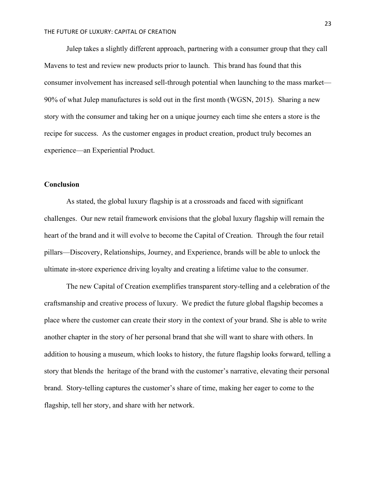Julep takes a slightly different approach, partnering with a consumer group that they call Mavens to test and review new products prior to launch. This brand has found that this consumer involvement has increased sell-through potential when launching to the mass market— 90% of what Julep manufactures is sold out in the first month (WGSN, 2015). Sharing a new story with the consumer and taking her on a unique journey each time she enters a store is the recipe for success. As the customer engages in product creation, product truly becomes an experience—an Experiential Product.

# **Conclusion**

As stated, the global luxury flagship is at a crossroads and faced with significant challenges. Our new retail framework envisions that the global luxury flagship will remain the heart of the brand and it will evolve to become the Capital of Creation. Through the four retail pillars—Discovery, Relationships, Journey, and Experience, brands will be able to unlock the ultimate in-store experience driving loyalty and creating a lifetime value to the consumer.

The new Capital of Creation exemplifies transparent story-telling and a celebration of the craftsmanship and creative process of luxury. We predict the future global flagship becomes a place where the customer can create their story in the context of your brand. She is able to write another chapter in the story of her personal brand that she will want to share with others. In addition to housing a museum, which looks to history, the future flagship looks forward, telling a story that blends the heritage of the brand with the customer's narrative, elevating their personal brand. Story-telling captures the customer's share of time, making her eager to come to the flagship, tell her story, and share with her network.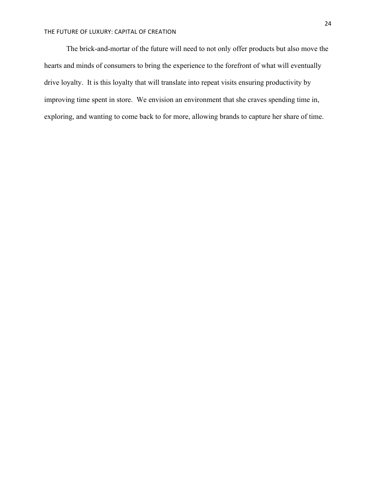The brick-and-mortar of the future will need to not only offer products but also move the hearts and minds of consumers to bring the experience to the forefront of what will eventually drive loyalty. It is this loyalty that will translate into repeat visits ensuring productivity by improving time spent in store. We envision an environment that she craves spending time in, exploring, and wanting to come back to for more, allowing brands to capture her share of time.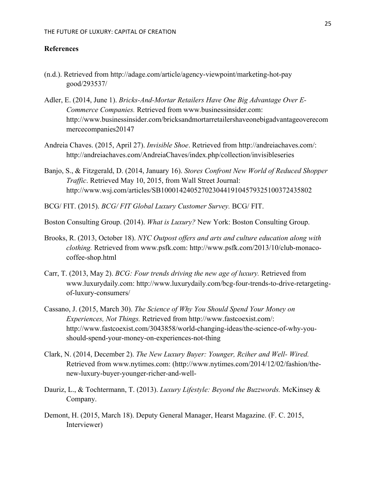# **References**

- (n.d.). Retrieved from http://adage.com/article/agency-viewpoint/marketing-hot-pay good/293537/
- Adler, E. (2014, June 1). *Bricks-And-Mortar Retailers Have One Big Advantage Over E-Commerce Companies.* Retrieved from www.businessinsider.com: http://www.businessinsider.com/bricksandmortarretailershaveonebigadvantageoverecom mercecompanies20147
- Andreia Chaves. (2015, April 27). *Invisible Shoe*. Retrieved from http://andreiachaves.com/: http://andreiachaves.com/AndreiaChaves/index.php/collection/invisibleseries
- Banjo, S., & Fitzgerald, D. (2014, January 16). *Stores Confront New World of Reduced Shopper Traffic*. Retrieved May 10, 2015, from Wall Street Journal: http://www.wsj.com/articles/SB10001424052702304419104579325100372435802
- BCG/ FIT. (2015). *BCG/ FIT Global Luxury Customer Survey.* BCG/ FIT.
- Boston Consulting Group. (2014). *What is Luxury?* New York: Boston Consulting Group.
- Brooks, R. (2013, October 18). *NYC Outpost offers and arts and culture education along with clothing.* Retrieved from www.psfk.com: http://www.psfk.com/2013/10/club-monacocoffee-shop.html
- Carr, T. (2013, May 2). *BCG: Four trends driving the new age of luxury.* Retrieved from www.luxurydaily.com: http://www.luxurydaily.com/bcg-four-trends-to-drive-retargetingof-luxury-consumers/
- Cassano, J. (2015, March 30). *The Science of Why You Should Spend Your Money on Experiences, Not Things.* Retrieved from http://www.fastcoexist.com/: http://www.fastcoexist.com/3043858/world-changing-ideas/the-science-of-why-youshould-spend-your-money-on-experiences-not-thing
- Clark, N. (2014, December 2). *The New Luxury Buyer: Younger, Rciher and Well- Wired.* Retrieved from www.nytimes.com: (http://www.nytimes.com/2014/12/02/fashion/thenew-luxury-buyer-younger-richer-and-well-
- Dauriz, L., & Tochtermann, T. (2013). *Luxury Lifestyle: Beyond the Buzzwords.* McKinsey & Company.
- Demont, H. (2015, March 18). Deputy General Manager, Hearst Magazine. (F. C. 2015, Interviewer)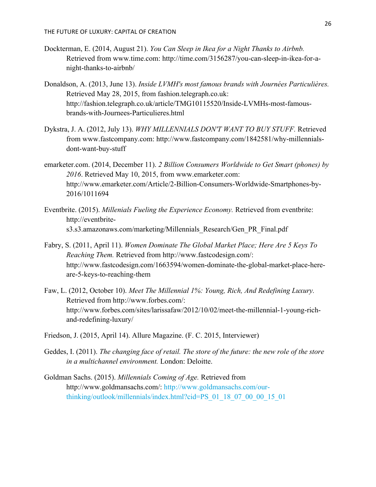- Dockterman, E. (2014, August 21). *You Can Sleep in Ikea for a Night Thanks to Airbnb.* Retrieved from www.time.com: http://time.com/3156287/you-can-sleep-in-ikea-for-anight-thanks-to-airbnb/
- Donaldson, A. (2013, June 13). *Inside LVMH's most famous brands with Journées Particulières.* Retrieved May 28, 2015, from fashion.telegraph.co.uk: http://fashion.telegraph.co.uk/article/TMG10115520/Inside-LVMHs-most-famousbrands-with-Journees-Particulieres.html
- Dykstra, J. A. (2012, July 13). *WHY MILLENNIALS DON'T WANT TO BUY STUFF.* Retrieved from www.fastcompany.com: http://www.fastcompany.com/1842581/why-millennialsdont-want-buy-stuff
- emarketer.com. (2014, December 11). *2 Billion Consumers Worldwide to Get Smart (phones) by 2016*. Retrieved May 10, 2015, from www.emarketer.com: http://www.emarketer.com/Article/2-Billion-Consumers-Worldwide-Smartphones-by-2016/1011694
- Eventbrite. (2015). *Millenials Fueling the Experience Economy.* Retrieved from eventbrite: http://eventbrites3.s3.amazonaws.com/marketing/Millennials\_Research/Gen\_PR\_Final.pdf
- Fabry, S. (2011, April 11). *Women Dominate The Global Market Place; Here Are 5 Keys To Reaching Them.* Retrieved from http://www.fastcodesign.com/: http://www.fastcodesign.com/1663594/women-dominate-the-global-market-place-hereare-5-keys-to-reaching-them
- Faw, L. (2012, October 10). *Meet The Millennial 1%: Young, Rich, And Redefining Luxury.* Retrieved from http://www.forbes.com/: http://www.forbes.com/sites/larissafaw/2012/10/02/meet-the-millennial-1-young-richand-redefining-luxury/
- Friedson, J. (2015, April 14). Allure Magazine. (F. C. 2015, Interviewer)
- Geddes, I. (2011). *The changing face of retail. The store of the future: the new role of the store in a multichannel environment.* London: Deloitte.
- Goldman Sachs. (2015). *Millennials Coming of Age.* Retrieved from http://www.goldmansachs.com/: http://www.goldmansachs.com/ourthinking/outlook/millennials/index.html?cid=PS\_01\_18\_07\_00\_00\_15\_01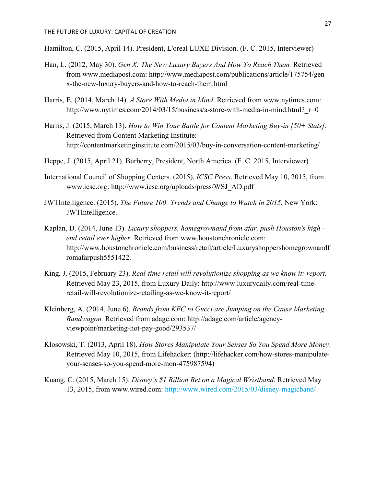Hamilton, C. (2015, April 14). President, L'oreal LUXE Division. (F. C. 2015, Interviewer)

- Han, L. (2012, May 30). *Gen X: The New Luxury Buyers And How To Reach Them.* Retrieved from www.mediapost.com: http://www.mediapost.com/publications/article/175754/genx-the-new-luxury-buyers-and-how-to-reach-them.html
- Harris, E. (2014, March 14). *A Store With Media in Mind.* Retrieved from www.nytimes.com: http://www.nytimes.com/2014/03/15/business/a-store-with-media-in-mind.html? r=0
- Harris, J. (2015, March 13). *How to Win Your Battle for Content Marketing Buy-in [50+ Stats]*. Retrieved from Content Marketing Institute: http://contentmarketinginstitute.com/2015/03/buy-in-conversation-content-marketing/
- Heppe, J. (2015, April 21). Burberry, President, North America. (F. C. 2015, Interviewer)
- International Council of Shopping Centers. (2015). *ICSC Press*. Retrieved May 10, 2015, from www.icsc.org: http://www.icsc.org/uploads/press/WSJ\_AD.pdf
- JWTIntelligence. (2015). *The Future 100: Trends and Change to Watch in 2015.* New York: JWTIntelligence.
- Kaplan, D. (2014, June 13). *Luxury shoppers, homegrownand from afar, push Houston's high end retail ever higher.* Retrieved from www.houstonchronicle.com: http://www.houstonchronicle.com/business/retail/article/Luxuryshoppershomegrownandf romafarpush5551422.
- King, J. (2015, February 23). *Real-time retail will revolutionize shopping as we know it: report.* Retrieved May 23, 2015, from Luxury Daily: http://www.luxurydaily.com/real-timeretail-will-revolutionize-retailing-as-we-know-it-report/
- Kleinberg, A. (2014, June 6). *Brands from KFC to Gucci are Jumping on the Cause Marketing Bandwagon.* Retrieved from adage.com: http://adage.com/article/agencyviewpoint/marketing-hot-pay-good/293537/
- Klosowski, T. (2013, April 18). *How Stores Manipulate Your Senses So You Spend More Money*. Retrieved May 10, 2015, from Lifehacker: (http://lifehacker.com/how-stores-manipulateyour-senses-so-you-spend-more-mon-475987594)
- Kuang, C. (2015, March 15). *Disney's \$1 Billion Bet on a Magical Wristband*. Retrieved May 13, 2015, from www.wired.com: http://www.wired.com/2015/03/disney-magicband/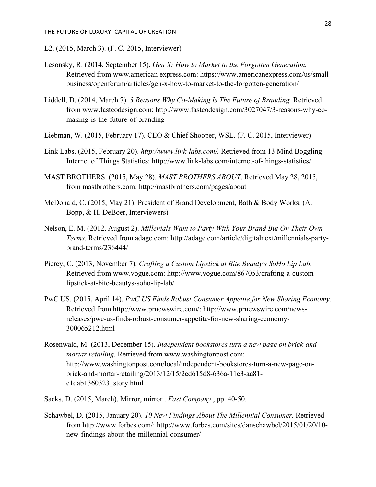- L2. (2015, March 3). (F. C. 2015, Interviewer)
- Lesonsky, R. (2014, September 15). *Gen X: How to Market to the Forgotten Generation.* Retrieved from www.american express.com: https://www.americanexpress.com/us/smallbusiness/openforum/articles/gen-x-how-to-market-to-the-forgotten-generation/
- Liddell, D. (2014, March 7). *3 Reasons Why Co-Making Is The Future of Branding.* Retrieved from www.fastcodesign.com: http://www.fastcodesign.com/3027047/3-reasons-why-comaking-is-the-future-of-branding
- Liebman, W. (2015, February 17). CEO & Chief Shooper, WSL. (F. C. 2015, Interviewer)
- Link Labs. (2015, February 20). *http://www.link-labs.com/.* Retrieved from 13 Mind Boggling Internet of Things Statistics: http://www.link-labs.com/internet-of-things-statistics/
- MAST BROTHERS. (2015, May 28). *MAST BROTHERS ABOUT*. Retrieved May 28, 2015, from mastbrothers.com: http://mastbrothers.com/pages/about
- McDonald, C. (2015, May 21). President of Brand Development, Bath & Body Works. (A. Bopp, & H. DeBoer, Interviewers)
- Nelson, E. M. (2012, August 2). *Millenials Want to Party With Your Brand But On Their Own Terms.* Retrieved from adage.com: http://adage.com/article/digitalnext/millennials-partybrand-terms/236444/
- Piercy, C. (2013, November 7). *Crafting a Custom Lipstick at Bite Beauty's SoHo Lip Lab.* Retrieved from www.vogue.com: http://www.vogue.com/867053/crafting-a-customlipstick-at-bite-beautys-soho-lip-lab/
- PwC US. (2015, April 14). *PwC US Finds Robust Consumer Appetite for New Sharing Economy.* Retrieved from http://www.prnewswire.com/: http://www.prnewswire.com/newsreleases/pwc-us-finds-robust-consumer-appetite-for-new-sharing-economy-300065212.html
- Rosenwald, M. (2013, December 15). *Independent bookstores turn a new page on brick-andmortar retailing.* Retrieved from www.washingtonpost.com: http://www.washingtonpost.com/local/independent-bookstores-turn-a-new-page-onbrick-and-mortar-retailing/2013/12/15/2ed615d8-636a-11e3-aa81 e1dab1360323\_story.html
- Sacks, D. (2015, March). Mirror, mirror . *Fast Company* , pp. 40-50.
- Schawbel, D. (2015, January 20). *10 New Findings About The Millennial Consumer.* Retrieved from http://www.forbes.com/: http://www.forbes.com/sites/danschawbel/2015/01/20/10 new-findings-about-the-millennial-consumer/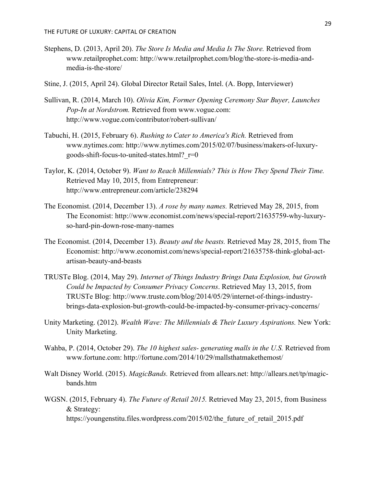- Stephens, D. (2013, April 20). *The Store Is Media and Media Is The Store.* Retrieved from www.retailprophet.com: http://www.retailprophet.com/blog/the-store-is-media-andmedia-is-the-store/
- Stine, J. (2015, April 24). Global Director Retail Sales, Intel. (A. Bopp, Interviewer)
- Sullivan, R. (2014, March 10). *Olivia Kim, Former Opening Ceremony Star Buyer, Launches Pop-In at Nordstrom.* Retrieved from www.vogue.com: http://www.vogue.com/contributor/robert-sullivan/
- Tabuchi, H. (2015, February 6). *Rushing to Cater to America's Rich.* Retrieved from www.nytimes.com: http://www.nytimes.com/2015/02/07/business/makers-of-luxurygoods-shift-focus-to-united-states.html? $r=0$
- Taylor, K. (2014, October 9). *Want to Reach Millennials? This is How They Spend Their Time.* Retrieved May 10, 2015, from Entrepreneur: http://www.entrepreneur.com/article/238294
- The Economist. (2014, December 13). *A rose by many names.* Retrieved May 28, 2015, from The Economist: http://www.economist.com/news/special-report/21635759-why-luxuryso-hard-pin-down-rose-many-names
- The Economist. (2014, December 13). *Beauty and the beasts.* Retrieved May 28, 2015, from The Economist: http://www.economist.com/news/special-report/21635758-think-global-actartisan-beauty-and-beasts
- TRUSTe Blog. (2014, May 29). *Internet of Things Industry Brings Data Explosion, but Growth Could be Impacted by Consumer Privacy Concerns*. Retrieved May 13, 2015, from TRUSTe Blog: http://www.truste.com/blog/2014/05/29/internet-of-things-industrybrings-data-explosion-but-growth-could-be-impacted-by-consumer-privacy-concerns/
- Unity Marketing. (2012). *Wealth Wave: The Millennials & Their Luxury Aspirations.* New York: Unity Marketing.
- Wahba, P. (2014, October 29). *The 10 highest sales- generating malls in the U.S.* Retrieved from www.fortune.com: http://fortune.com/2014/10/29/mallsthatmakethemost/
- Walt Disney World. (2015). *MagicBands.* Retrieved from allears.net: http://allears.net/tp/magicbands.htm
- WGSN. (2015, February 4). *The Future of Retail 2015.* Retrieved May 23, 2015, from Business & Strategy:

https://youngenstitu.files.wordpress.com/2015/02/the\_future\_of\_retail\_2015.pdf